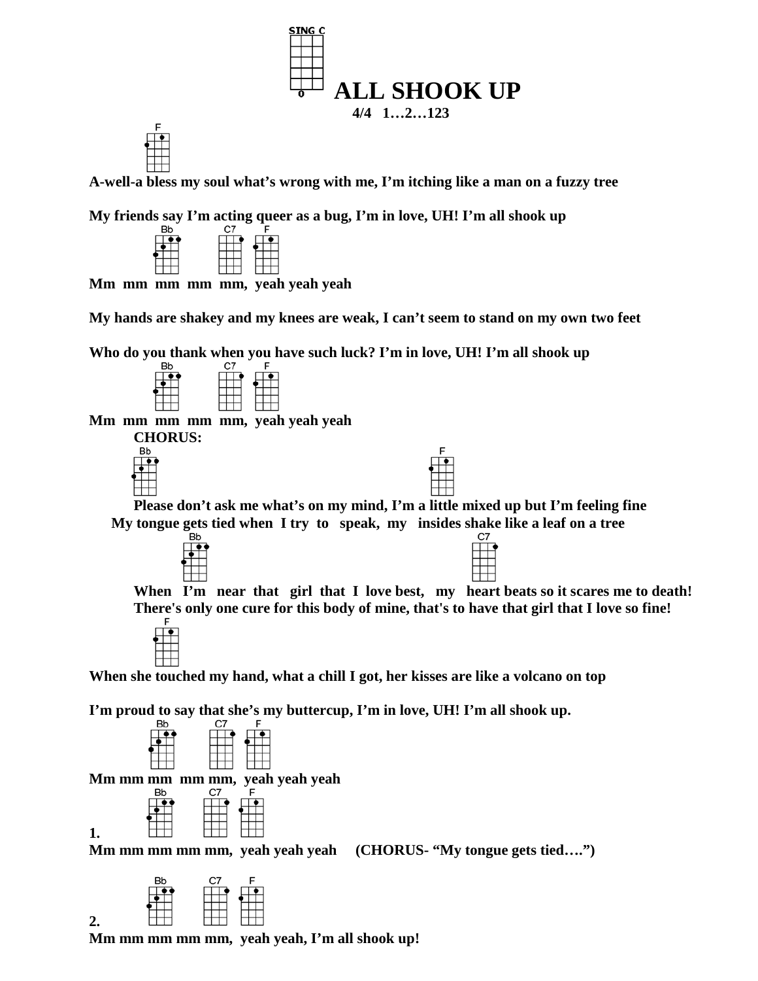



**My friends say I'm acting queer as a bug, I'm in love, UH! I'm all shook up** 



 **Mm mm mm mm mm, yeah yeah yeah**

**My hands are shakey and my knees are weak, I can't seem to stand on my own two feet**

**Who do you thank when you have such luck? I'm in love, UH! I'm all shook up**

| <b>Bb</b> |  |  | C7 |  | c |  |  |  |  |
|-----------|--|--|----|--|---|--|--|--|--|
|           |  |  |    |  |   |  |  |  |  |
|           |  |  |    |  |   |  |  |  |  |
|           |  |  |    |  |   |  |  |  |  |
|           |  |  |    |  |   |  |  |  |  |
|           |  |  |    |  |   |  |  |  |  |

 **Mm mm mm mm mm, yeah yeah yeah**

**CHORUS:**



| ∟                                                                                 |
|-----------------------------------------------------------------------------------|
| Please don't ask me what's on my mind, I'm a little mixed up but I'm feeling fine |
| My tongue gets tied when I try to speak, my insides shake like a leaf on a tree   |
|                                                                                   |



 **When I'm near that girl that I love best, my heart beats so it scares me to death! There's only one cure for this body of mine, that's to have that girl that I love so fine!**



 **When she touched my hand, what a chill I got, her kisses are like a volcano on top**

**I'm proud to say that she's my buttercup, I'm in love, UH! I'm all shook up.**

| <b>Bb</b> | C.7 | F |
|-----------|-----|---|
|           |     |   |
|           |     |   |
|           |     |   |

**Mm mm mm mm mm, yeah yeah yeah** 



**1. how included included m**<br>**Mm mm mm mm mm, yeah yeah yeah** (CHORUS- "My tongue gets tied....")



**2. Mm mm mm mm mm, yeah yeah, I'm all shook up!**